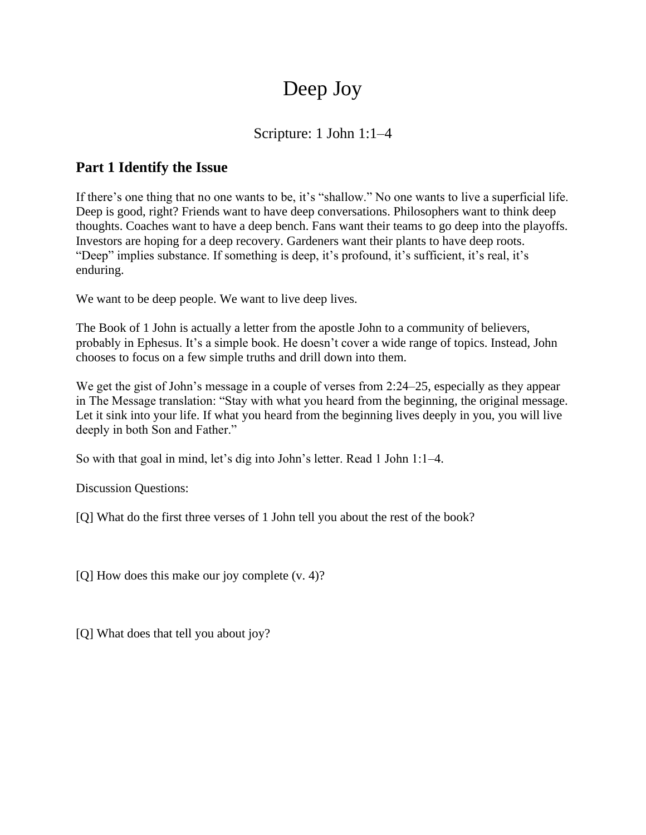# Deep Joy

## Scripture: 1 John 1:1–4

# **Part 1 Identify the Issue**

If there's one thing that no one wants to be, it's "shallow." No one wants to live a superficial life. Deep is good, right? Friends want to have deep conversations. Philosophers want to think deep thoughts. Coaches want to have a deep bench. Fans want their teams to go deep into the playoffs. Investors are hoping for a deep recovery. Gardeners want their plants to have deep roots. "Deep" implies substance. If something is deep, it's profound, it's sufficient, it's real, it's enduring.

We want to be deep people. We want to live deep lives.

The Book of 1 John is actually a letter from the apostle John to a community of believers, probably in Ephesus. It's a simple book. He doesn't cover a wide range of topics. Instead, John chooses to focus on a few simple truths and drill down into them.

We get the gist of John's message in a couple of verses from 2:24–25, especially as they appear in The Message translation: "Stay with what you heard from the beginning, the original message. Let it sink into your life. If what you heard from the beginning lives deeply in you, you will live deeply in both Son and Father."

So with that goal in mind, let's dig into John's letter. Read 1 John 1:1–4.

Discussion Questions:

[Q] What do the first three verses of 1 John tell you about the rest of the book?

[Q] How does this make our joy complete (v. 4)?

[Q] What does that tell you about joy?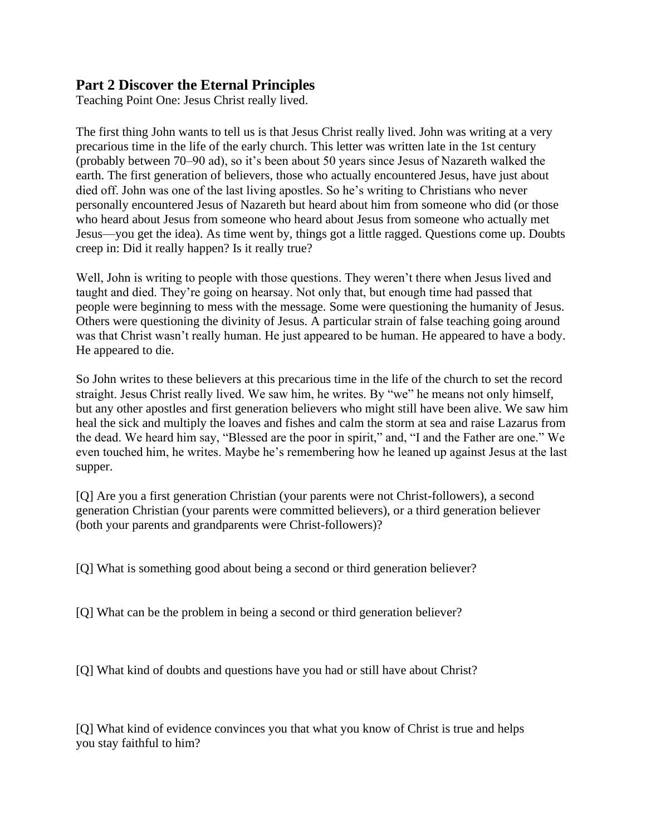#### **Part 2 Discover the Eternal Principles**

Teaching Point One: Jesus Christ really lived.

The first thing John wants to tell us is that Jesus Christ really lived. John was writing at a very precarious time in the life of the early church. This letter was written late in the 1st century (probably between 70–90 ad), so it's been about 50 years since Jesus of Nazareth walked the earth. The first generation of believers, those who actually encountered Jesus, have just about died off. John was one of the last living apostles. So he's writing to Christians who never personally encountered Jesus of Nazareth but heard about him from someone who did (or those who heard about Jesus from someone who heard about Jesus from someone who actually met Jesus—you get the idea). As time went by, things got a little ragged. Questions come up. Doubts creep in: Did it really happen? Is it really true?

Well, John is writing to people with those questions. They weren't there when Jesus lived and taught and died. They're going on hearsay. Not only that, but enough time had passed that people were beginning to mess with the message. Some were questioning the humanity of Jesus. Others were questioning the divinity of Jesus. A particular strain of false teaching going around was that Christ wasn't really human. He just appeared to be human. He appeared to have a body. He appeared to die.

So John writes to these believers at this precarious time in the life of the church to set the record straight. Jesus Christ really lived. We saw him, he writes. By "we" he means not only himself, but any other apostles and first generation believers who might still have been alive. We saw him heal the sick and multiply the loaves and fishes and calm the storm at sea and raise Lazarus from the dead. We heard him say, "Blessed are the poor in spirit," and, "I and the Father are one." We even touched him, he writes. Maybe he's remembering how he leaned up against Jesus at the last supper.

[Q] Are you a first generation Christian (your parents were not Christ-followers), a second generation Christian (your parents were committed believers), or a third generation believer (both your parents and grandparents were Christ-followers)?

[Q] What is something good about being a second or third generation believer?

[Q] What can be the problem in being a second or third generation believer?

[Q] What kind of doubts and questions have you had or still have about Christ?

[Q] What kind of evidence convinces you that what you know of Christ is true and helps you stay faithful to him?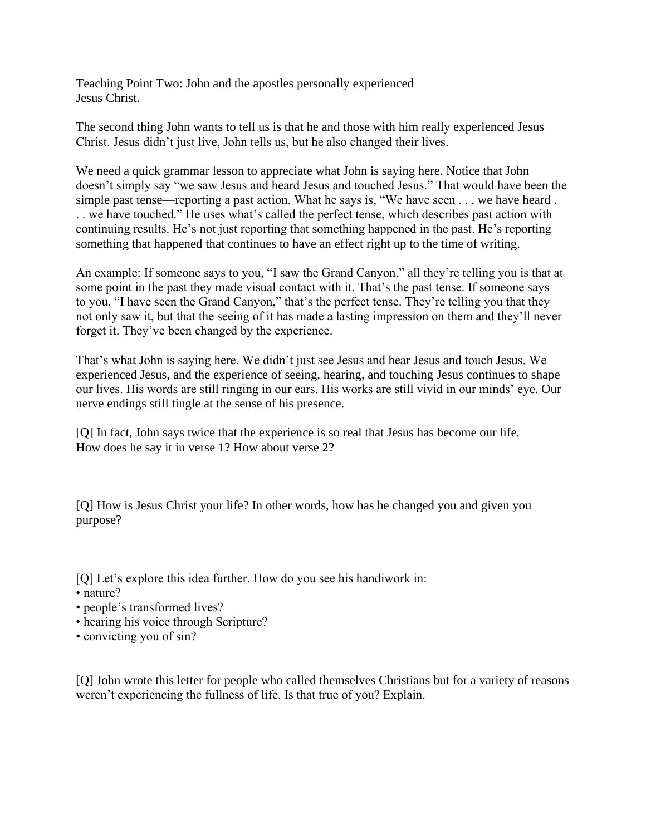Teaching Point Two: John and the apostles personally experienced Jesus Christ.

The second thing John wants to tell us is that he and those with him really experienced Jesus Christ. Jesus didn't just live, John tells us, but he also changed their lives.

We need a quick grammar lesson to appreciate what John is saying here. Notice that John doesn't simply say "we saw Jesus and heard Jesus and touched Jesus." That would have been the simple past tense—reporting a past action. What he says is, "We have seen . . . we have heard . . . we have touched." He uses what's called the perfect tense, which describes past action with continuing results. He's not just reporting that something happened in the past. He's reporting something that happened that continues to have an effect right up to the time of writing.

An example: If someone says to you, "I saw the Grand Canyon," all they're telling you is that at some point in the past they made visual contact with it. That's the past tense. If someone says to you, "I have seen the Grand Canyon," that's the perfect tense. They're telling you that they not only saw it, but that the seeing of it has made a lasting impression on them and they'll never forget it. They've been changed by the experience.

That's what John is saying here. We didn't just see Jesus and hear Jesus and touch Jesus. We experienced Jesus, and the experience of seeing, hearing, and touching Jesus continues to shape our lives. His words are still ringing in our ears. His works are still vivid in our minds' eye. Our nerve endings still tingle at the sense of his presence.

[Q] In fact, John says twice that the experience is so real that Jesus has become our life. How does he say it in verse 1? How about verse 2?

[Q] How is Jesus Christ your life? In other words, how has he changed you and given you purpose?

[Q] Let's explore this idea further. How do you see his handiwork in:

- nature?
- people's transformed lives?
- hearing his voice through Scripture?
- convicting you of sin?

[Q] John wrote this letter for people who called themselves Christians but for a variety of reasons weren't experiencing the fullness of life. Is that true of you? Explain.